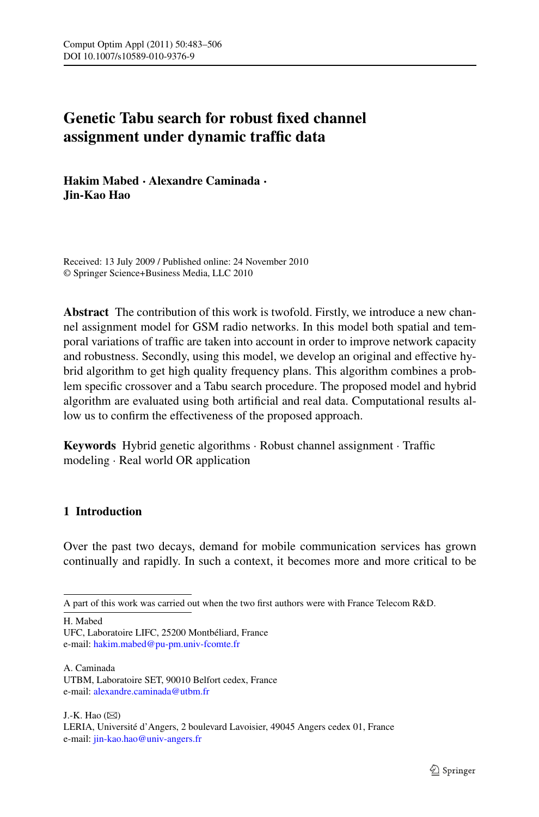# **Genetic Tabu search for robust fixed channel assignment under dynamic traffic data**

**Hakim Mabed · Alexandre Caminada · Jin-Kao Hao**

Received: 13 July 2009 / Published online: 24 November 2010 © Springer Science+Business Media, LLC 2010

**Abstract** The contribution of this work is twofold. Firstly, we introduce a new channel assignment model for GSM radio networks. In this model both spatial and temporal variations of traffic are taken into account in order to improve network capacity and robustness. Secondly, using this model, we develop an original and effective hybrid algorithm to get high quality frequency plans. This algorithm combines a problem specific crossover and a Tabu search procedure. The proposed model and hybrid algorithm are evaluated using both artificial and real data. Computational results allow us to confirm the effectiveness of the proposed approach.

**Keywords** Hybrid genetic algorithms · Robust channel assignment · Traffic modeling · Real world OR application

## **1 Introduction**

Over the past two decays, demand for mobile communication services has grown continually and rapidly. In such a context, it becomes more and more critical to be

H. Mabed

UFC, Laboratoire LIFC, 25200 Montbéliard, France e-mail: [hakim.mabed@pu-pm.univ-fcomte.fr](mailto:hakim.mabed@pu-pm.univ-fcomte.fr)

A. Caminada UTBM, Laboratoire SET, 90010 Belfort cedex, France e-mail: [alexandre.caminada@utbm.fr](mailto:alexandre.caminada@utbm.fr)

J.-K. Hao  $(\boxtimes)$ LERIA, Université d'Angers, 2 boulevard Lavoisier, 49045 Angers cedex 01, France e-mail: [jin-kao.hao@univ-angers.fr](mailto:jin-kao.hao@univ-angers.fr)

A part of this work was carried out when the two first authors were with France Telecom R&D.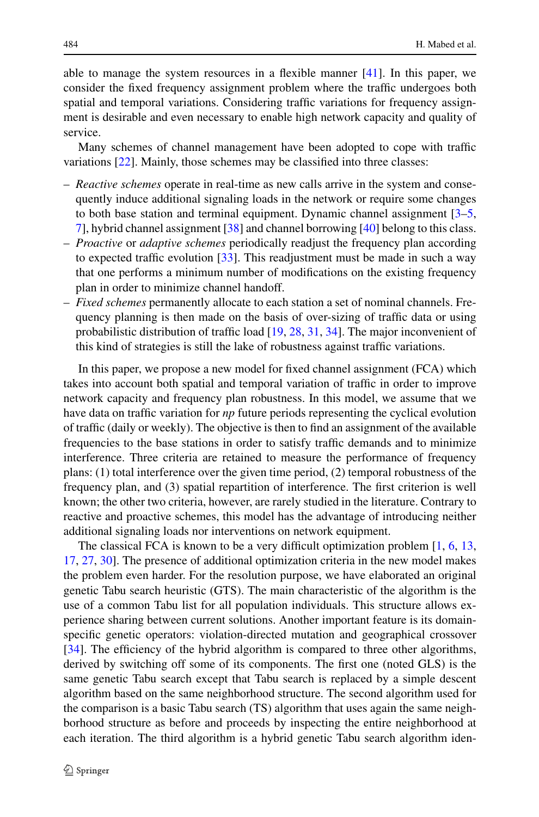able to manage the system resources in a flexible manner [[41\]](#page-23-0). In this paper, we consider the fixed frequency assignment problem where the traffic undergoes both spatial and temporal variations. Considering traffic variations for frequency assignment is desirable and even necessary to enable high network capacity and quality of service.

Many schemes of channel management have been adopted to cope with traffic variations [[22\]](#page-22-0). Mainly, those schemes may be classified into three classes:

- *Reactive schemes* operate in real-time as new calls arrive in the system and consequently induce additional signaling loads in the network or require some changes to both base station and terminal equipment. Dynamic channel assignment [\[3](#page-22-1)[–5](#page-22-2), [7\]](#page-22-3), hybrid channel assignment [\[38](#page-23-1)] and channel borrowing [\[40](#page-23-2)] belong to this class.
- *Proactive* or *adaptive schemes* periodically readjust the frequency plan according to expected traffic evolution [\[33](#page-23-3)]. This readjustment must be made in such a way that one performs a minimum number of modifications on the existing frequency plan in order to minimize channel handoff.
- *Fixed schemes* permanently allocate to each station a set of nominal channels. Frequency planning is then made on the basis of over-sizing of traffic data or using probabilistic distribution of traffic load [\[19](#page-22-4), [28,](#page-22-5) [31,](#page-22-6) [34\]](#page-23-4). The major inconvenient of this kind of strategies is still the lake of robustness against traffic variations.

In this paper, we propose a new model for fixed channel assignment (FCA) which takes into account both spatial and temporal variation of traffic in order to improve network capacity and frequency plan robustness. In this model, we assume that we have data on traffic variation for *np* future periods representing the cyclical evolution of traffic (daily or weekly). The objective is then to find an assignment of the available frequencies to the base stations in order to satisfy traffic demands and to minimize interference. Three criteria are retained to measure the performance of frequency plans: (1) total interference over the given time period, (2) temporal robustness of the frequency plan, and (3) spatial repartition of interference. The first criterion is well known; the other two criteria, however, are rarely studied in the literature. Contrary to reactive and proactive schemes, this model has the advantage of introducing neither additional signaling loads nor interventions on network equipment.

The classical FCA is known to be a very difficult optimization problem  $[1, 6, 13,$  $[1, 6, 13,$  $[1, 6, 13,$  $[1, 6, 13,$  $[1, 6, 13,$  $[1, 6, 13,$  $[1, 6, 13,$ [17,](#page-22-9) [27,](#page-22-10) [30\]](#page-22-11). The presence of additional optimization criteria in the new model makes the problem even harder. For the resolution purpose, we have elaborated an original genetic Tabu search heuristic (GTS). The main characteristic of the algorithm is the use of a common Tabu list for all population individuals. This structure allows experience sharing between current solutions. Another important feature is its domainspecific genetic operators: violation-directed mutation and geographical crossover [\[34](#page-23-4)]. The efficiency of the hybrid algorithm is compared to three other algorithms, derived by switching off some of its components. The first one (noted GLS) is the same genetic Tabu search except that Tabu search is replaced by a simple descent algorithm based on the same neighborhood structure. The second algorithm used for the comparison is a basic Tabu search (TS) algorithm that uses again the same neighborhood structure as before and proceeds by inspecting the entire neighborhood at each iteration. The third algorithm is a hybrid genetic Tabu search algorithm iden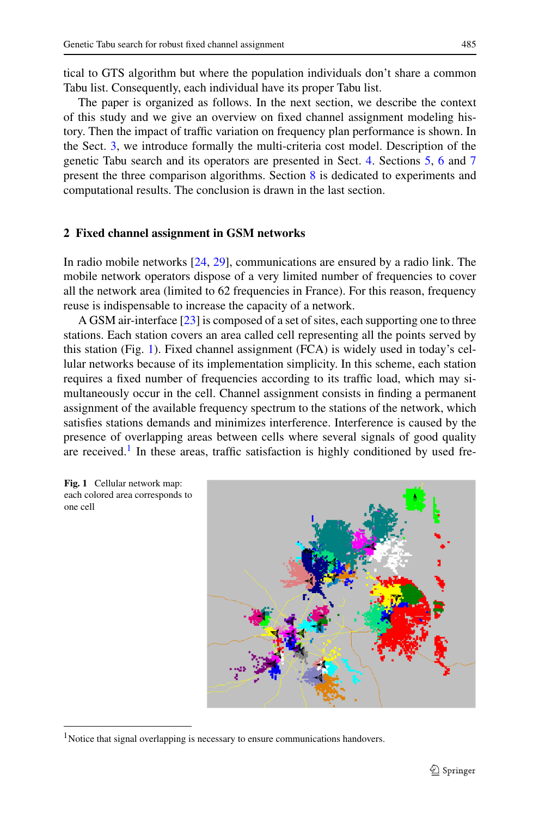tical to GTS algorithm but where the population individuals don't share a common Tabu list. Consequently, each individual have its proper Tabu list.

The paper is organized as follows. In the next section, we describe the context of this study and we give an overview on fixed channel assignment modeling history. Then the impact of traffic variation on frequency plan performance is shown. In the Sect. [3](#page-4-0), we introduce formally the multi-criteria cost model. Description of the genetic Tabu search and its operators are presented in Sect. [4](#page-6-0). Sections [5](#page-12-0), [6](#page-13-0) and [7](#page-14-0) present the three comparison algorithms. Section [8](#page-14-1) is dedicated to experiments and computational results. The conclusion is drawn in the last section.

### **2 Fixed channel assignment in GSM networks**

In radio mobile networks [[24,](#page-22-12) [29\]](#page-22-13), communications are ensured by a radio link. The mobile network operators dispose of a very limited number of frequencies to cover all the network area (limited to 62 frequencies in France). For this reason, frequency reuse is indispensable to increase the capacity of a network.

<span id="page-2-0"></span>A GSM air-interface [[23\]](#page-22-14) is composed of a set of sites, each supporting one to three stations. Each station covers an area called cell representing all the points served by this station (Fig. [1\)](#page-2-0). Fixed channel assignment (FCA) is widely used in today's cellular networks because of its implementation simplicity. In this scheme, each station requires a fixed number of frequencies according to its traffic load, which may simultaneously occur in the cell. Channel assignment consists in finding a permanent assignment of the available frequency spectrum to the stations of the network, which satisfies stations demands and minimizes interference. Interference is caused by the presence of overlapping areas between cells where several signals of good quality are received.<sup>1</sup> In these areas, traffic satisfaction is highly conditioned by used fre-





<span id="page-2-1"></span><sup>&</sup>lt;sup>1</sup>Notice that signal overlapping is necessary to ensure communications handovers.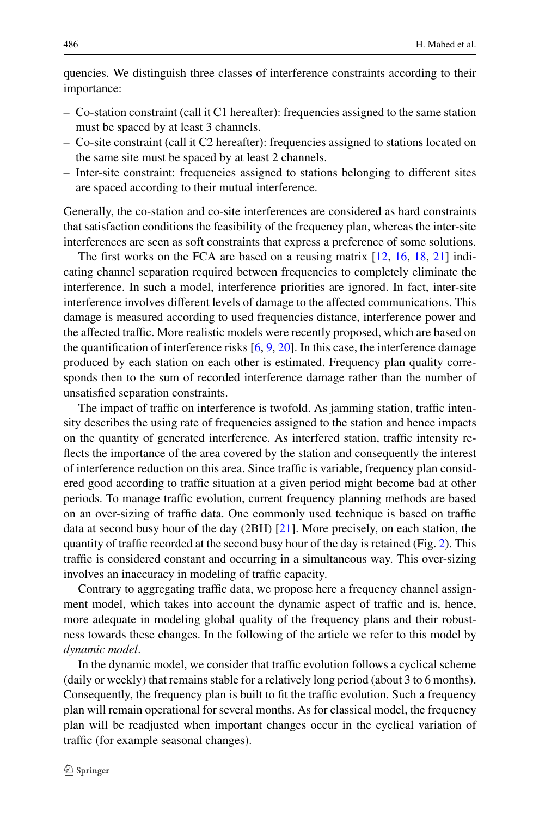quencies. We distinguish three classes of interference constraints according to their importance:

- Co-station constraint (call it C1 hereafter): frequencies assigned to the same station must be spaced by at least 3 channels.
- Co-site constraint (call it C2 hereafter): frequencies assigned to stations located on the same site must be spaced by at least 2 channels.
- Inter-site constraint: frequencies assigned to stations belonging to different sites are spaced according to their mutual interference.

Generally, the co-station and co-site interferences are considered as hard constraints that satisfaction conditions the feasibility of the frequency plan, whereas the inter-site interferences are seen as soft constraints that express a preference of some solutions.

The first works on the FCA are based on a reusing matrix [\[12](#page-22-15), [16,](#page-22-16) [18,](#page-22-17) [21](#page-22-18)] indicating channel separation required between frequencies to completely eliminate the interference. In such a model, interference priorities are ignored. In fact, inter-site interference involves different levels of damage to the affected communications. This damage is measured according to used frequencies distance, interference power and the affected traffic. More realistic models were recently proposed, which are based on the quantification of interference risks [[6,](#page-22-7) [9](#page-22-19), [20\]](#page-22-20). In this case, the interference damage produced by each station on each other is estimated. Frequency plan quality corresponds then to the sum of recorded interference damage rather than the number of unsatisfied separation constraints.

The impact of traffic on interference is twofold. As jamming station, traffic intensity describes the using rate of frequencies assigned to the station and hence impacts on the quantity of generated interference. As interfered station, traffic intensity reflects the importance of the area covered by the station and consequently the interest of interference reduction on this area. Since traffic is variable, frequency plan considered good according to traffic situation at a given period might become bad at other periods. To manage traffic evolution, current frequency planning methods are based on an over-sizing of traffic data. One commonly used technique is based on traffic data at second busy hour of the day (2BH) [[21\]](#page-22-18). More precisely, on each station, the quantity of traffic recorded at the second busy hour of the day is retained (Fig. [2](#page-4-1)). This traffic is considered constant and occurring in a simultaneous way. This over-sizing involves an inaccuracy in modeling of traffic capacity.

Contrary to aggregating traffic data, we propose here a frequency channel assignment model, which takes into account the dynamic aspect of traffic and is, hence, more adequate in modeling global quality of the frequency plans and their robustness towards these changes. In the following of the article we refer to this model by *dynamic model*.

In the dynamic model, we consider that traffic evolution follows a cyclical scheme (daily or weekly) that remains stable for a relatively long period (about 3 to 6 months). Consequently, the frequency plan is built to fit the traffic evolution. Such a frequency plan will remain operational for several months. As for classical model, the frequency plan will be readjusted when important changes occur in the cyclical variation of traffic (for example seasonal changes).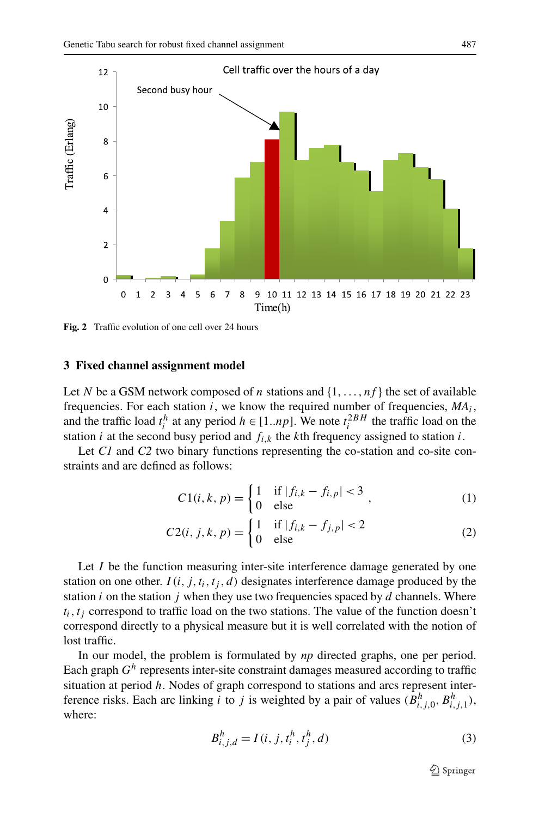

<span id="page-4-1"></span><span id="page-4-0"></span>**Fig. 2** Traffic evolution of one cell over 24 hours

### **3 Fixed channel assignment model**

Let *N* be a GSM network composed of *n* stations and  $\{1, \ldots, nf\}$  the set of available frequencies. For each station *i*, we know the required number of frequencies, *MAi*, and the traffic load  $t_i^h$  at any period  $h \in [1..np]$ . We note  $t_i^{2BH}$  the traffic load on the station *i* at the second busy period and  $f_{i,k}$  the *k*th frequency assigned to station *i*.

Let *C1* and *C2* two binary functions representing the co-station and co-site constraints and are defined as follows:

$$
C1(i,k,p) = \begin{cases} 1 & \text{if } |f_{i,k} - f_{i,p}| < 3 \\ 0 & \text{else} \end{cases}
$$
 (1)

$$
C2(i, j, k, p) = \begin{cases} 1 & \text{if } |f_{i,k} - f_{j,p}| < 2\\ 0 & \text{else} \end{cases}
$$
 (2)

Let *I* be the function measuring inter-site interference damage generated by one station on one other.  $I(i, j, t_i, t_j, d)$  designates interference damage produced by the station *i* on the station *j* when they use two frequencies spaced by *d* channels. Where  $t_i$ ,  $t_j$  correspond to traffic load on the two stations. The value of the function doesn't correspond directly to a physical measure but it is well correlated with the notion of lost traffic.

In our model, the problem is formulated by *np* directed graphs, one per period. Each graph *Gh* represents inter-site constraint damages measured according to traffic situation at period *h*. Nodes of graph correspond to stations and arcs represent interference risks. Each arc linking *i* to *j* is weighted by a pair of values  $(B_{i,j,0}^h, B_{i,j,1}^h)$ , where:

<span id="page-4-2"></span>
$$
B_{i,j,d}^{h} = I(i, j, t_i^h, t_j^h, d)
$$
\n(3)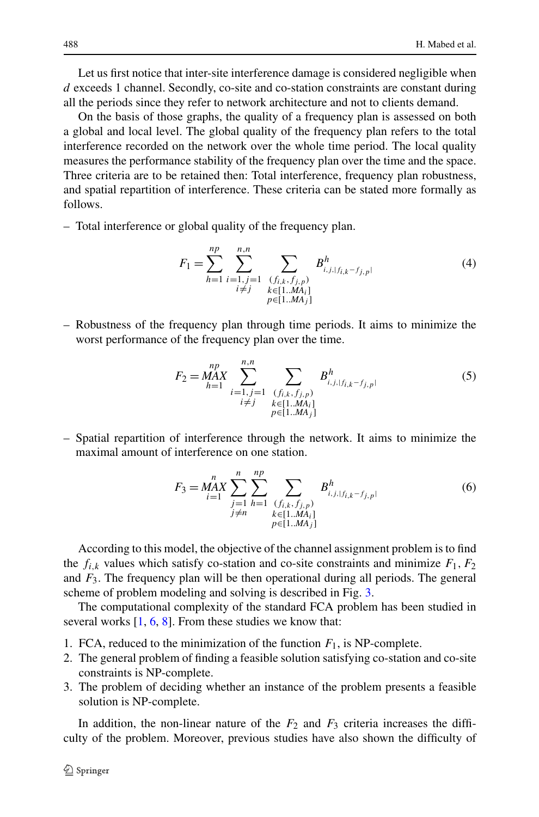Let us first notice that inter-site interference damage is considered negligible when *d* exceeds 1 channel. Secondly, co-site and co-station constraints are constant during all the periods since they refer to network architecture and not to clients demand.

On the basis of those graphs, the quality of a frequency plan is assessed on both a global and local level. The global quality of the frequency plan refers to the total interference recorded on the network over the whole time period. The local quality measures the performance stability of the frequency plan over the time and the space. Three criteria are to be retained then: Total interference, frequency plan robustness, and spatial repartition of interference. These criteria can be stated more formally as follows.

– Total interference or global quality of the frequency plan.

$$
F_1 = \sum_{h=1}^{np} \sum_{\substack{i=1, j=1 \ i \neq j}}^{n,n} \sum_{\substack{(f_{i,k}, f_{j,p}) \ k \in [1..MA_i] \ p \in [1..MA_j]}} B^h_{i,j, |f_{i,k} - f_{j,p}|}
$$
(4)

– Robustness of the frequency plan through time periods. It aims to minimize the worst performance of the frequency plan over the time.

$$
F_2 = \underset{h=1}{\overset{np}{MAX}} \sum_{\substack{i=1, j=1 \ i \neq j}}^{n,n} \sum_{\substack{(f_{i,k}, f_{j,p}) \ (f_{i,k} - f_{j,p})}} B^h_{i,j, |f_{i,k} - f_{j,p}|}
$$
\n
$$
\underset{p \in [1..MA_j]}{\overset{np}{X}}
$$
\n
$$
(5)
$$

– Spatial repartition of interference through the network. It aims to minimize the maximal amount of interference on one station.

$$
F_3 = \underset{i=1}{\overset{n}{\text{MAX}}} \sum_{j=1}^n \sum_{h=1}^{np} \sum_{\substack{(f_{i,k}, f_{j,p}) \\ k \in [1..MA_i] \\ p \in [1..MA_j]}} B^h_{i,j, |f_{i,k} - f_{j,p}|}
$$
(6)

According to this model, the objective of the channel assignment problem is to find the  $f_{i,k}$  values which satisfy co-station and co-site constraints and minimize  $F_1, F_2$ and  $F_3$ . The frequency plan will be then operational during all periods. The general scheme of problem modeling and solving is described in Fig. [3.](#page-6-1)

The computational complexity of the standard FCA problem has been studied in several works [\[1](#page-21-0), [6](#page-22-7), [8](#page-22-21)]. From these studies we know that:

- 1. FCA, reduced to the minimization of the function  $F_1$ , is NP-complete.
- 2. The general problem of finding a feasible solution satisfying co-station and co-site constraints is NP-complete.
- 3. The problem of deciding whether an instance of the problem presents a feasible solution is NP-complete.

In addition, the non-linear nature of the  $F_2$  and  $F_3$  criteria increases the difficulty of the problem. Moreover, previous studies have also shown the difficulty of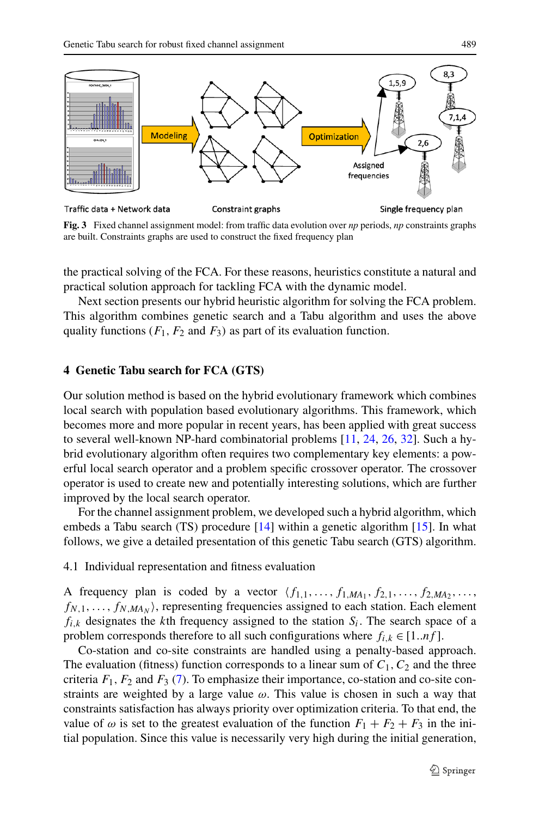<span id="page-6-1"></span>

**Fig. 3** Fixed channel assignment model: from traffic data evolution over *np* periods, *np* constraints graphs are built. Constraints graphs are used to construct the fixed frequency plan

<span id="page-6-0"></span>the practical solving of the FCA. For these reasons, heuristics constitute a natural and practical solution approach for tackling FCA with the dynamic model.

Next section presents our hybrid heuristic algorithm for solving the FCA problem. This algorithm combines genetic search and a Tabu algorithm and uses the above quality functions  $(F_1, F_2$  and  $F_3)$  as part of its evaluation function.

### **4 Genetic Tabu search for FCA (GTS)**

Our solution method is based on the hybrid evolutionary framework which combines local search with population based evolutionary algorithms. This framework, which becomes more and more popular in recent years, has been applied with great success to several well-known NP-hard combinatorial problems [\[11,](#page-22-22) [24](#page-22-12), [26](#page-22-23), [32\]](#page-23-5). Such a hybrid evolutionary algorithm often requires two complementary key elements: a powerful local search operator and a problem specific crossover operator. The crossover operator is used to create new and potentially interesting solutions, which are further improved by the local search operator.

For the channel assignment problem, we developed such a hybrid algorithm, which embeds a Tabu search (TS) procedure  $[14]$  $[14]$  within a genetic algorithm  $[15]$  $[15]$ . In what follows, we give a detailed presentation of this genetic Tabu search (GTS) algorithm.

4.1 Individual representation and fitness evaluation

A frequency plan is coded by a vector  $\langle f_{1,1}, \ldots, f_{1,MA_1}, f_{2,1}, \ldots, f_{2,MA_2}, \ldots, f_{M,A_d}$  $f_{N,1}, \ldots, f_{N,MA_N}$ , representing frequencies assigned to each station. Each element  $f_{i,k}$  designates the *k*th frequency assigned to the station  $S_i$ . The search space of a problem corresponds therefore to all such configurations where  $f_{i,k} \in [1..n f]$ .

Co-station and co-site constraints are handled using a penalty-based approach. The evaluation (fitness) function corresponds to a linear sum of  $C_1$ ,  $C_2$  and the three criteria  $F_1, F_2$  and  $F_3$  ([7\)](#page-7-0). To emphasize their importance, co-station and co-site constraints are weighted by a large value *ω*. This value is chosen in such a way that constraints satisfaction has always priority over optimization criteria. To that end, the value of  $\omega$  is set to the greatest evaluation of the function  $F_1 + F_2 + F_3$  in the initial population. Since this value is necessarily very high during the initial generation,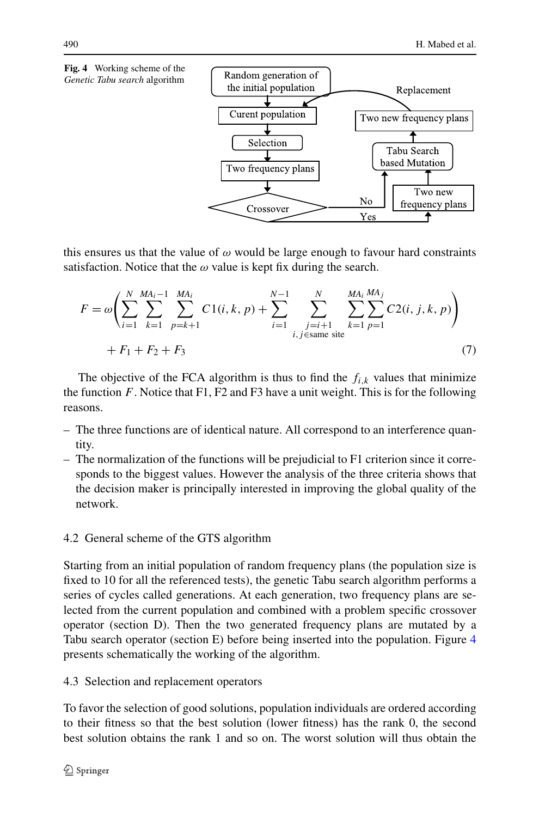<span id="page-7-1"></span>

<span id="page-7-0"></span>this ensures us that the value of  $\omega$  would be large enough to favour hard constraints satisfaction. Notice that the  $\omega$  value is kept fix during the search.

$$
F = \omega \left( \sum_{i=1}^{N} \sum_{k=1}^{MA_i-1} \sum_{p=k+1}^{MA_i} C1(i,k,p) + \sum_{i=1}^{N-1} \sum_{\substack{j=i+1 \ i,j \in \text{same site}}}^{N} \sum_{k=1}^{MA_i} \sum_{p=1}^{MA_j} C2(i,j,k,p) \right) + F_1 + F_2 + F_3
$$
\n(7)

The objective of the FCA algorithm is thus to find the  $f_{i,k}$  values that minimize the function *F*. Notice that F1, F2 and F3 have a unit weight. This is for the following reasons.

- The three functions are of identical nature. All correspond to an interference quantity.
- The normalization of the functions will be prejudicial to F1 criterion since it corresponds to the biggest values. However the analysis of the three criteria shows that the decision maker is principally interested in improving the global quality of the network.

## 4.2 General scheme of the GTS algorithm

Starting from an initial population of random frequency plans (the population size is fixed to 10 for all the referenced tests), the genetic Tabu search algorithm performs a series of cycles called generations. At each generation, two frequency plans are selected from the current population and combined with a problem specific crossover operator (section D). Then the two generated frequency plans are mutated by a Tabu search operator (section E) before being inserted into the population. Figure [4](#page-7-1) presents schematically the working of the algorithm.

4.3 Selection and replacement operators

To favor the selection of good solutions, population individuals are ordered according to their fitness so that the best solution (lower fitness) has the rank 0, the second best solution obtains the rank 1 and so on. The worst solution will thus obtain the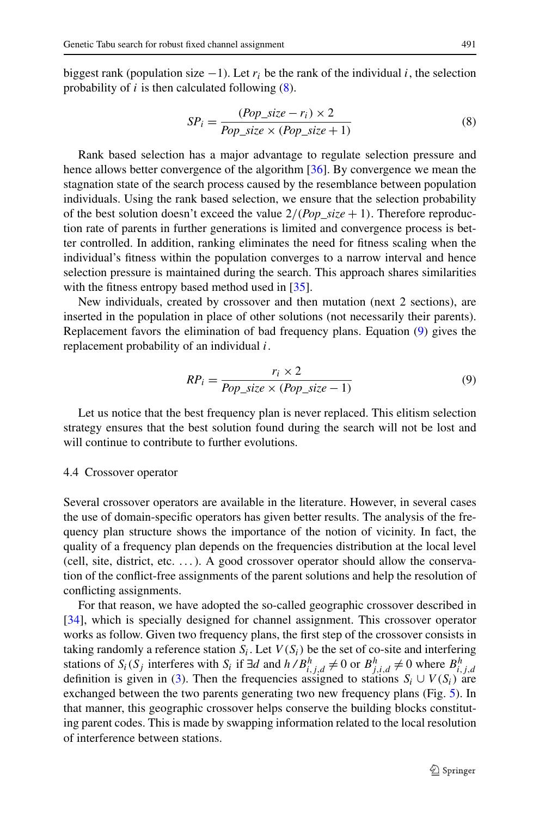biggest rank (population size  $-1$ ). Let  $r_i$  be the rank of the individual *i*, the selection probability of *i* is then calculated following [\(8](#page-8-0)).

<span id="page-8-0"></span>
$$
SP_i = \frac{(Pop\_size - r_i) \times 2}{Pop\_size \times (Pop\_size + 1)}
$$
(8)

Rank based selection has a major advantage to regulate selection pressure and hence allows better convergence of the algorithm [\[36](#page-23-6)]. By convergence we mean the stagnation state of the search process caused by the resemblance between population individuals. Using the rank based selection, we ensure that the selection probability of the best solution doesn't exceed the value  $2/(Pop\_size + 1)$ . Therefore reproduction rate of parents in further generations is limited and convergence process is better controlled. In addition, ranking eliminates the need for fitness scaling when the individual's fitness within the population converges to a narrow interval and hence selection pressure is maintained during the search. This approach shares similarities with the fitness entropy based method used in [\[35](#page-23-7)].

New individuals, created by crossover and then mutation (next 2 sections), are inserted in the population in place of other solutions (not necessarily their parents). Replacement favors the elimination of bad frequency plans. Equation ([9\)](#page-8-1) gives the replacement probability of an individual *i*.

<span id="page-8-1"></span>
$$
RP_i = \frac{r_i \times 2}{Pop\_size \times (Pop\_size - 1)}
$$
(9)

Let us notice that the best frequency plan is never replaced. This elitism selection strategy ensures that the best solution found during the search will not be lost and will continue to contribute to further evolutions.

### 4.4 Crossover operator

Several crossover operators are available in the literature. However, in several cases the use of domain-specific operators has given better results. The analysis of the frequency plan structure shows the importance of the notion of vicinity. In fact, the quality of a frequency plan depends on the frequencies distribution at the local level (cell, site, district, etc. *...*). A good crossover operator should allow the conservation of the conflict-free assignments of the parent solutions and help the resolution of conflicting assignments.

For that reason, we have adopted the so-called geographic crossover described in [\[34](#page-23-4)], which is specially designed for channel assignment. This crossover operator works as follow. Given two frequency plans, the first step of the crossover consists in taking randomly a reference station  $S_i$ . Let  $V(S_i)$  be the set of co-site and interfering stations of *S<sub>i</sub>*(*S<sub>j</sub>* interferes with *S<sub>i</sub>* if  $\exists d$  and  $h/B_{i,j,d}^h \neq 0$  or  $B_{j,i,d}^h \neq 0$  where  $B_{i,j,d}^h$ definition is given in [\(3](#page-4-2)). Then the frequencies assigned to stations  $S_i \cup V(S_i)$  are exchanged between the two parents generating two new frequency plans (Fig. [5\)](#page-9-0). In that manner, this geographic crossover helps conserve the building blocks constituting parent codes. This is made by swapping information related to the local resolution of interference between stations.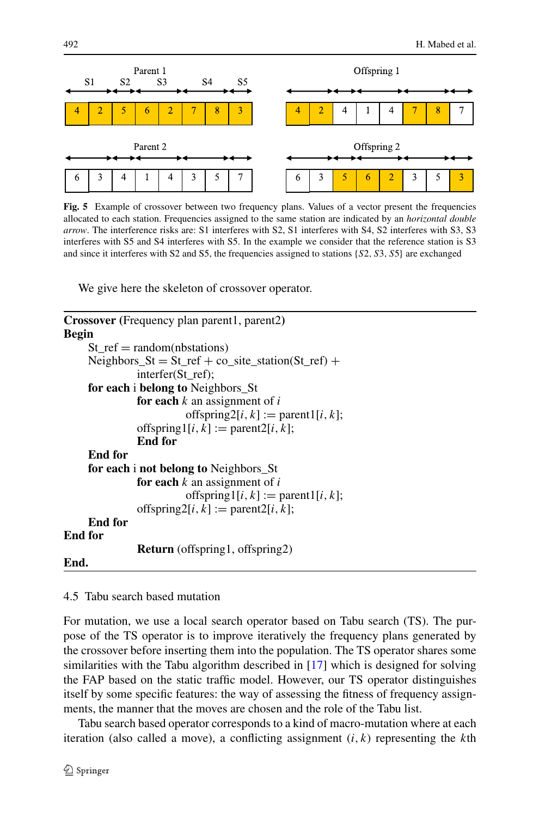

<span id="page-9-0"></span>Fig. 5 Example of crossover between two frequency plans. Values of a vector present the frequencies allocated to each station. Frequencies assigned to the same station are indicated by an *horizontal double arrow*. The interference risks are: S1 interferes with S2, S1 interferes with S4, S2 interferes with S3, S3 interferes with S5 and S4 interferes with S5. In the example we consider that the reference station is S3 and since it interferes with S2 and S5, the frequencies assigned to stations {*S*2*,S*3*,S*5} are exchanged

We give here the skeleton of crossover operator.

```
Crossover (Frequency plan parent1, parent2)
Begin
     St ref = random(nbstations)Neighbors St = St\ref + co\; site\; station(St\; ref) +interfer(St_ref);
     for each i belong to Neighbors_St
               for each k an assignment of i
                         offspring2[i, k] := parent1[i, k];
               offspring1[i, k] := parent2[i, k];
               End for
     End for
     for each i not belong to Neighbors_St
               for each k an assignment of i
                         offspring1[i, k] := parent1[i, k];
               offspring2[i, k] := parent2[i, k];
     End for
End for
               Return (offspring1, offspring2)
End.
```
## <span id="page-9-1"></span>4.5 Tabu search based mutation

For mutation, we use a local search operator based on Tabu search (TS). The purpose of the TS operator is to improve iteratively the frequency plans generated by the crossover before inserting them into the population. The TS operator shares some similarities with the Tabu algorithm described in [[17\]](#page-22-9) which is designed for solving the FAP based on the static traffic model. However, our TS operator distinguishes itself by some specific features: the way of assessing the fitness of frequency assignments, the manner that the moves are chosen and the role of the Tabu list.

Tabu search based operator corresponds to a kind of macro-mutation where at each iteration (also called a move), a conflicting assignment  $(i, k)$  representing the  $k$ th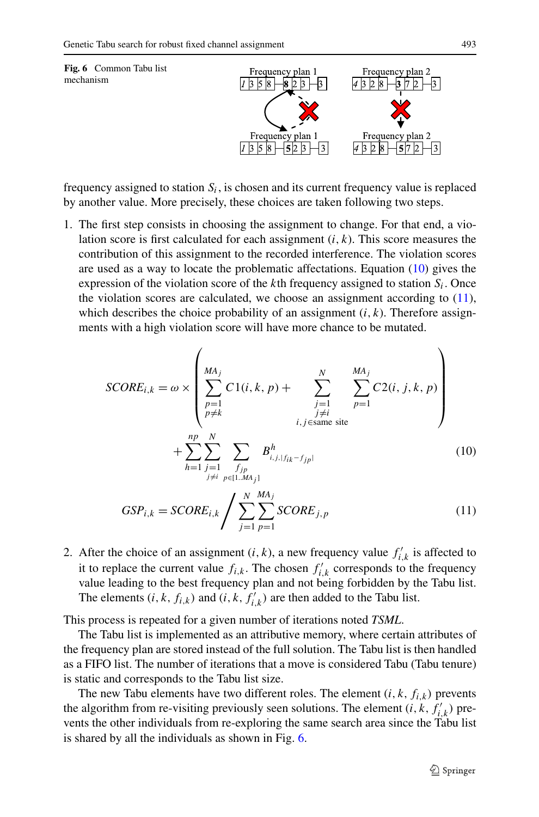<span id="page-10-2"></span>



frequency assigned to station  $S_i$ , is chosen and its current frequency value is replaced by another value. More precisely, these choices are taken following two steps.

<span id="page-10-0"></span>1. The first step consists in choosing the assignment to change. For that end, a violation score is first calculated for each assignment (*i,k*). This score measures the contribution of this assignment to the recorded interference. The violation scores are used as a way to locate the problematic affectations. Equation  $(10)$  $(10)$  gives the expression of the violation score of the  $k$ th frequency assigned to station  $S_i$ . Once the violation scores are calculated, we choose an assignment according to  $(11)$  $(11)$ , which describes the choice probability of an assignment  $(i, k)$ . Therefore assignments with a high violation score will have more chance to be mutated.

<span id="page-10-1"></span>
$$
SCORE_{i,k} = \omega \times \left(\sum_{p=1}^{MA_j} C1(i,k,p) + \sum_{\substack{j=1 \ j \neq i}}^{N} \sum_{\substack{j=1 \ j \neq i}}^{MA_j} C2(i,j,k,p)\right) + \sum_{\substack{l=1 \ l \neq j \neq i}}^{np} \sum_{\substack{j=1 \ j \neq i}}^{N} B^{h}_{i,j,|f_{ik}-f_{jp}|}
$$
(10)

$$
GSP_{i,k} = SCORE_{i,k} \left/ \sum_{j=1}^{N} \sum_{p=1}^{MAj} SCORE_{j,p} \right. \tag{11}
$$

2. After the choice of an assignment  $(i, k)$ , a new frequency value  $f'_{i,k}$  is affected to it to replace the current value  $f_{i,k}$ . The chosen  $f'_{i,k}$  corresponds to the frequency value leading to the best frequency plan and not being forbidden by the Tabu list. The elements  $(i, k, f_{i,k})$  and  $(i, k, f'_{i,k})$  are then added to the Tabu list.

This process is repeated for a given number of iterations noted *TSML*.

The Tabu list is implemented as an attributive memory, where certain attributes of the frequency plan are stored instead of the full solution. The Tabu list is then handled as a FIFO list. The number of iterations that a move is considered Tabu (Tabu tenure) is static and corresponds to the Tabu list size.

The new Tabu elements have two different roles. The element  $(i, k, f_{i,k})$  prevents the algorithm from re-visiting previously seen solutions. The element  $(i, k, f'_{i,k})$  prevents the other individuals from re-exploring the same search area since the Tabu list is shared by all the individuals as shown in Fig. [6](#page-10-2).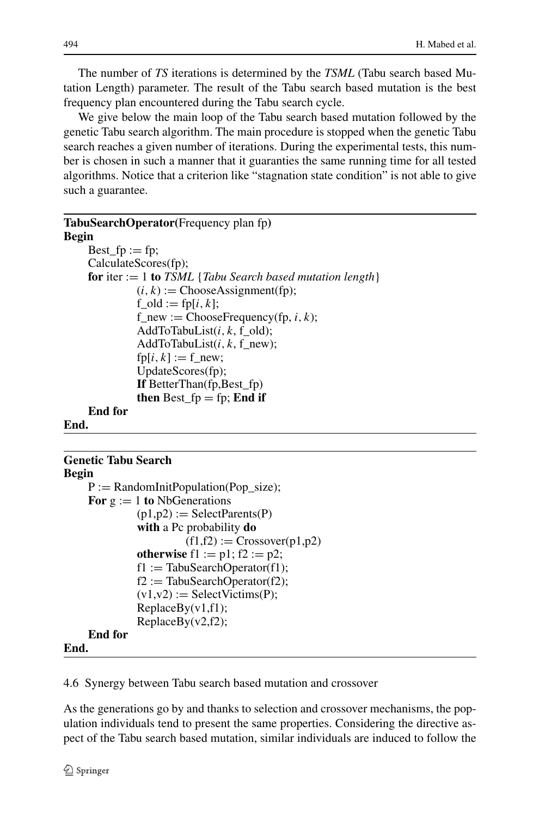The number of *TS* iterations is determined by the *TSML* (Tabu search based Mutation Length) parameter. The result of the Tabu search based mutation is the best frequency plan encountered during the Tabu search cycle.

We give below the main loop of the Tabu search based mutation followed by the genetic Tabu search algorithm. The main procedure is stopped when the genetic Tabu search reaches a given number of iterations. During the experimental tests, this number is chosen in such a manner that it guaranties the same running time for all tested algorithms. Notice that a criterion like "stagnation state condition" is not able to give such a guarantee.

```
TabuSearchOperator(Frequency plan fp)
Begin
     Best\_fp := fp;CalculateScores(fp);
     for iter := 1 to TSML {Tabu Search based mutation length}
              (i, k) := \text{ChooseAssignment}(\text{fp});f\_old := fp[i, k];f_new := ChooseFrequency(fp, i, k);AddToTabuList(i,k, f_old);
              AddToTabuList(i,k, f_new);
              fp[i, k] := f_new;UpdateScores(fp);
              If BetterThan(fp,Best_fp)
              then Best_fp = fp; End if
     End for
End.
```

```
Genetic Tabu Search
Begin
     P := RandomInitPopulation(Pop_size);For g := 1 to NbGenerations
              (p1,p2) := \text{SelectParents}(P)with a Pc probability do
                        (f1,f2) := Crossover(p1,p2)otherwise f1 := p1; f2 := p2;
              f1 :=TabuSearchOperator(f1);
              f2 :=TabuSearchOperator(f2);
              (v1,v2) := SelectVictims(P);
              ReplaceBy(v1,f1);
              ReplaceBy(v2,f2);End for
End.
```
4.6 Synergy between Tabu search based mutation and crossover

As the generations go by and thanks to selection and crossover mechanisms, the population individuals tend to present the same properties. Considering the directive aspect of the Tabu search based mutation, similar individuals are induced to follow the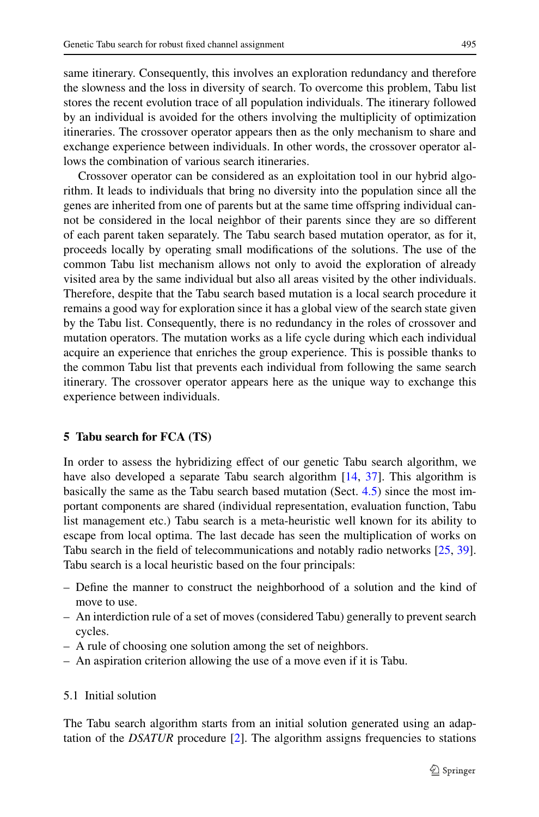same itinerary. Consequently, this involves an exploration redundancy and therefore the slowness and the loss in diversity of search. To overcome this problem, Tabu list stores the recent evolution trace of all population individuals. The itinerary followed by an individual is avoided for the others involving the multiplicity of optimization itineraries. The crossover operator appears then as the only mechanism to share and exchange experience between individuals. In other words, the crossover operator allows the combination of various search itineraries.

Crossover operator can be considered as an exploitation tool in our hybrid algorithm. It leads to individuals that bring no diversity into the population since all the genes are inherited from one of parents but at the same time offspring individual cannot be considered in the local neighbor of their parents since they are so different of each parent taken separately. The Tabu search based mutation operator, as for it, proceeds locally by operating small modifications of the solutions. The use of the common Tabu list mechanism allows not only to avoid the exploration of already visited area by the same individual but also all areas visited by the other individuals. Therefore, despite that the Tabu search based mutation is a local search procedure it remains a good way for exploration since it has a global view of the search state given by the Tabu list. Consequently, there is no redundancy in the roles of crossover and mutation operators. The mutation works as a life cycle during which each individual acquire an experience that enriches the group experience. This is possible thanks to the common Tabu list that prevents each individual from following the same search itinerary. The crossover operator appears here as the unique way to exchange this experience between individuals.

### <span id="page-12-0"></span>**5 Tabu search for FCA (TS)**

In order to assess the hybridizing effect of our genetic Tabu search algorithm, we have also developed a separate Tabu search algorithm [[14,](#page-22-24) [37](#page-23-8)]. This algorithm is basically the same as the Tabu search based mutation (Sect. [4.5\)](#page-9-1) since the most important components are shared (individual representation, evaluation function, Tabu list management etc.) Tabu search is a meta-heuristic well known for its ability to escape from local optima. The last decade has seen the multiplication of works on Tabu search in the field of telecommunications and notably radio networks [[25,](#page-22-26) [39\]](#page-23-9). Tabu search is a local heuristic based on the four principals:

- Define the manner to construct the neighborhood of a solution and the kind of move to use.
- An interdiction rule of a set of moves (considered Tabu) generally to prevent search cycles.
- A rule of choosing one solution among the set of neighbors.
- An aspiration criterion allowing the use of a move even if it is Tabu.

## 5.1 Initial solution

The Tabu search algorithm starts from an initial solution generated using an adaptation of the *DSATUR* procedure [\[2](#page-22-27)]. The algorithm assigns frequencies to stations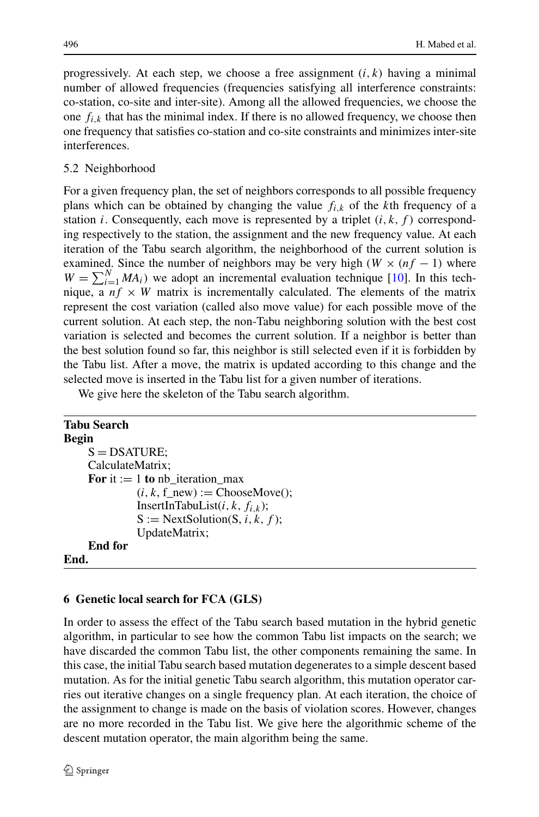progressively. At each step, we choose a free assignment  $(i, k)$  having a minimal number of allowed frequencies (frequencies satisfying all interference constraints: co-station, co-site and inter-site). Among all the allowed frequencies, we choose the one  $f_{i,k}$  that has the minimal index. If there is no allowed frequency, we choose then one frequency that satisfies co-station and co-site constraints and minimizes inter-site interferences.

## 5.2 Neighborhood

For a given frequency plan, the set of neighbors corresponds to all possible frequency plans which can be obtained by changing the value  $f_{i,k}$  of the *k*th frequency of a station *i*. Consequently, each move is represented by a triplet  $(i, k, f)$  corresponding respectively to the station, the assignment and the new frequency value. At each iteration of the Tabu search algorithm, the neighborhood of the current solution is examined. Since the number of neighbors may be very high ( $W \times (nf - 1)$ ) where  $W = \sum_{i=1}^{N} MA_i$ ) we adopt an incremental evaluation technique [\[10](#page-22-28)]. In this technique, a  $nf \times W$  matrix is incrementally calculated. The elements of the matrix represent the cost variation (called also move value) for each possible move of the current solution. At each step, the non-Tabu neighboring solution with the best cost variation is selected and becomes the current solution. If a neighbor is better than the best solution found so far, this neighbor is still selected even if it is forbidden by the Tabu list. After a move, the matrix is updated according to this change and the selected move is inserted in the Tabu list for a given number of iterations.

We give here the skeleton of the Tabu search algorithm.

## **Tabu Search**

```
Begin
     S = DSATURECalculateMatrix;
     For it := 1 to nb_iteration_max
               (i, k, f_{\text{new}}) := \text{ChooseMove}.
               InsertInTabuList(i,k,fi,k);
               S := NextSolution(S, i, k, f);
               UpdateMatrix;
     End for
End.
```
## **6 Genetic local search for FCA (GLS)**

In order to assess the effect of the Tabu search based mutation in the hybrid genetic algorithm, in particular to see how the common Tabu list impacts on the search; we have discarded the common Tabu list, the other components remaining the same. In this case, the initial Tabu search based mutation degenerates to a simple descent based mutation. As for the initial genetic Tabu search algorithm, this mutation operator carries out iterative changes on a single frequency plan. At each iteration, the choice of the assignment to change is made on the basis of violation scores. However, changes are no more recorded in the Tabu list. We give here the algorithmic scheme of the descent mutation operator, the main algorithm being the same.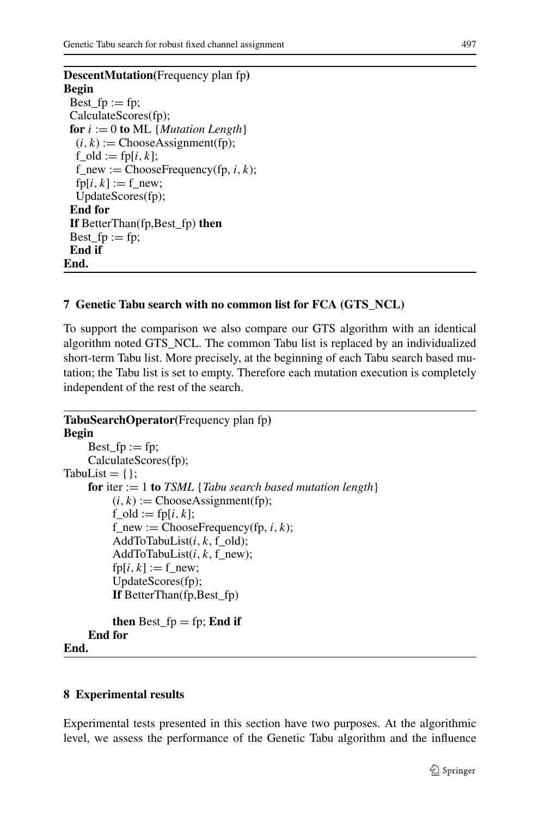```
DescentMutation(Frequency plan fp)
Begin
 Best fp := fp;
 CalculateScores(fp);
 for i := 0 to ML {Mutation Length}
  (i, k) :=ChooseAssignment(fp);
  f\_old := fp[i, k];f_new := ChooseFrequency(fp, i, k);fp[i, k] := f new;
  UpdateScores(fp);
 End for
 If BetterThan(fp,Best_fp) then
 Best_f = fp;
 End if
End.
```
## <span id="page-14-0"></span>**7 Genetic Tabu search with no common list for FCA (GTS\_NCL)**

To support the comparison we also compare our GTS algorithm with an identical algorithm noted GTS\_NCL. The common Tabu list is replaced by an individualized short-term Tabu list. More precisely, at the beginning of each Tabu search based mutation; the Tabu list is set to empty. Therefore each mutation execution is completely independent of the rest of the search.

```
TabuSearchOperator(Frequency plan fp)
Begin
    Best_f p := fp;CalculateScores(fp);
TabuList = \{\};
    for iter := 1 to TSML {Tabu search based mutation length}
         (i, k) :=ChooseAssignment(fp);
         f_old := fp[i, k];
         f_new := ChooseFrequency(fp, i, k);AddToTabuList(i,k, f_old);
         AddToTabuList(i,k, f_new);
         fp[i, k] := f new;
         UpdateScores(fp);
         If BetterThan(fp,Best_fp)
         then Best_fp = fp; End if
    End for
```
<span id="page-14-1"></span>**End.**

## **8 Experimental results**

Experimental tests presented in this section have two purposes. At the algorithmic level, we assess the performance of the Genetic Tabu algorithm and the influence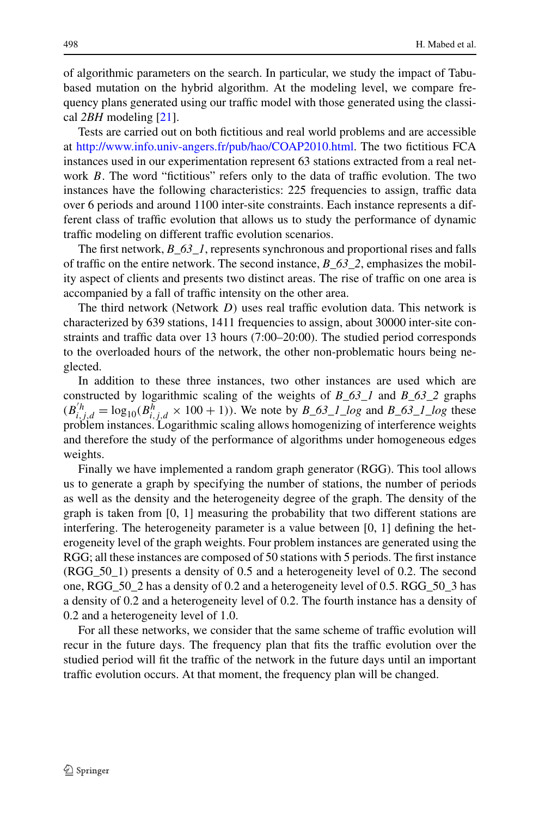of algorithmic parameters on the search. In particular, we study the impact of Tabubased mutation on the hybrid algorithm. At the modeling level, we compare frequency plans generated using our traffic model with those generated using the classical *2BH* modeling [[21\]](#page-22-18).

Tests are carried out on both fictitious and real world problems and are accessible at <http://www.info.univ-angers.fr/pub/hao/COAP2010.html>. The two fictitious FCA instances used in our experimentation represent 63 stations extracted from a real network *B*. The word "fictitious" refers only to the data of traffic evolution. The two instances have the following characteristics: 225 frequencies to assign, traffic data over 6 periods and around 1100 inter-site constraints. Each instance represents a different class of traffic evolution that allows us to study the performance of dynamic traffic modeling on different traffic evolution scenarios.

The first network, *B\_63\_1*, represents synchronous and proportional rises and falls of traffic on the entire network. The second instance, *B\_63\_2*, emphasizes the mobility aspect of clients and presents two distinct areas. The rise of traffic on one area is accompanied by a fall of traffic intensity on the other area.

The third network (Network *D)* uses real traffic evolution data. This network is characterized by 639 stations, 1411 frequencies to assign, about 30000 inter-site constraints and traffic data over 13 hours (7:00–20:00). The studied period corresponds to the overloaded hours of the network, the other non-problematic hours being neglected.

In addition to these three instances, two other instances are used which are constructed by logarithmic scaling of the weights of *B\_63\_1* and *B\_63\_2* graphs (*B h i,j,d* <sup>=</sup> log10*(B<sup>h</sup> i,j,d* × 100 + 1*))*. We note by *B\_63\_1\_log* and *B\_63\_1\_log* these problem instances. Logarithmic scaling allows homogenizing of interference weights and therefore the study of the performance of algorithms under homogeneous edges weights.

Finally we have implemented a random graph generator (RGG). This tool allows us to generate a graph by specifying the number of stations, the number of periods as well as the density and the heterogeneity degree of the graph. The density of the graph is taken from [0, 1] measuring the probability that two different stations are interfering. The heterogeneity parameter is a value between [0, 1] defining the heterogeneity level of the graph weights. Four problem instances are generated using the RGG; all these instances are composed of 50 stations with 5 periods. The first instance (RGG\_50\_1) presents a density of 0.5 and a heterogeneity level of 0.2. The second one, RGG\_50\_2 has a density of 0.2 and a heterogeneity level of 0.5. RGG\_50\_3 has a density of 0.2 and a heterogeneity level of 0.2. The fourth instance has a density of 0.2 and a heterogeneity level of 1.0.

For all these networks, we consider that the same scheme of traffic evolution will recur in the future days. The frequency plan that fits the traffic evolution over the studied period will fit the traffic of the network in the future days until an important traffic evolution occurs. At that moment, the frequency plan will be changed.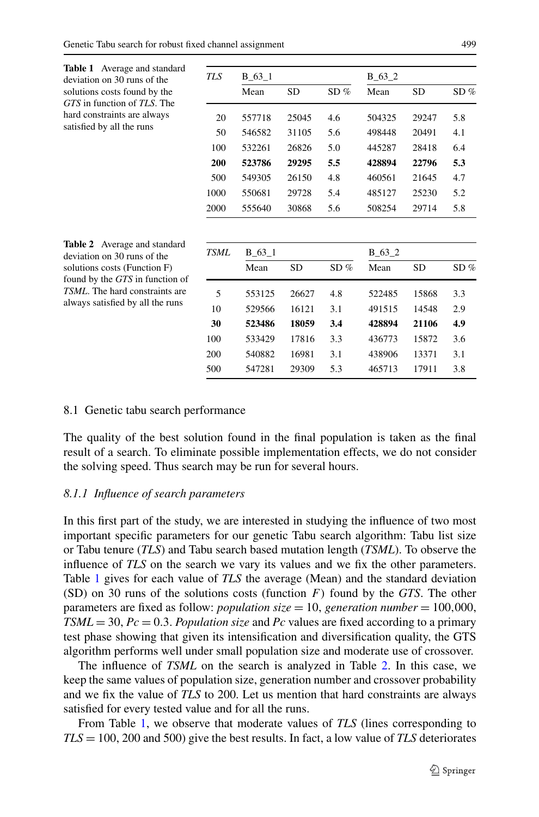<span id="page-16-1"></span><span id="page-16-0"></span>

| <b>Table 1</b> Average and standard                                                                   |             |          |           |        |          |           |        |  |
|-------------------------------------------------------------------------------------------------------|-------------|----------|-----------|--------|----------|-----------|--------|--|
| deviation on 30 runs of the                                                                           | TLS         | $B_63_1$ |           |        | $B_63_2$ |           |        |  |
| solutions costs found by the                                                                          |             | Mean     | <b>SD</b> | $SD\%$ | Mean     | <b>SD</b> | $SD\%$ |  |
| GTS in function of TLS. The                                                                           |             |          |           |        |          |           |        |  |
| hard constraints are always                                                                           | 20          | 557718   | 25045     | 4.6    | 504325   | 29247     | 5.8    |  |
| satisfied by all the runs                                                                             | 50          | 546582   | 31105     | 5.6    | 498448   | 20491     | 4.1    |  |
|                                                                                                       | 100         | 532261   | 26826     | 5.0    | 445287   | 28418     | 6.4    |  |
|                                                                                                       | 200         | 523786   | 29295     | 5.5    | 428894   | 22796     | 5.3    |  |
|                                                                                                       | 500         | 549305   | 26150     | 4.8    | 460561   | 21645     | 4.7    |  |
|                                                                                                       | 1000        | 550681   | 29728     | 5.4    | 485127   | 25230     | 5.2    |  |
|                                                                                                       | 2000        | 555640   | 30868     | 5.6    | 508254   | 29714     | 5.8    |  |
|                                                                                                       |             |          |           |        |          |           |        |  |
| <b>Table 2</b> Average and standard                                                                   |             |          |           |        |          |           |        |  |
| deviation on 30 runs of the                                                                           | <b>TSML</b> | $B_63_1$ |           |        | $B_63_2$ |           |        |  |
| solutions costs (Function F)                                                                          |             | Mean     | SD        | SD%    | Mean     | SD        | SD%    |  |
| found by the GTS in function of<br>TSML. The hard constraints are<br>always satisfied by all the runs | 5           | 553125   | 26627     | 4.8    | 522485   | 15868     | 3.3    |  |
|                                                                                                       |             |          |           |        |          |           |        |  |
|                                                                                                       | 10          | 529566   | 16121     | 3.1    | 491515   | 14548     | 2.9    |  |
|                                                                                                       | 30          | 523486   | 18059     | 3.4    | 428894   | 21106     | 4.9    |  |
|                                                                                                       | 100         | 533429   | 17816     | 3.3    | 436773   | 15872     | 3.6    |  |
|                                                                                                       | 200         | 540882   | 16981     | 3.1    | 438906   | 13371     | 3.1    |  |
|                                                                                                       | 500         | 547281   | 29309     | 5.3    | 465713   | 17911     | 3.8    |  |

### 8.1 Genetic tabu search performance

The quality of the best solution found in the final population is taken as the final result of a search. To eliminate possible implementation effects, we do not consider the solving speed. Thus search may be run for several hours.

### *8.1.1 Influence of search parameters*

In this first part of the study, we are interested in studying the influence of two most important specific parameters for our genetic Tabu search algorithm: Tabu list size or Tabu tenure (*TLS*) and Tabu search based mutation length (*TSML*). To observe the influence of *TLS* on the search we vary its values and we fix the other parameters. Table [1](#page-16-0) gives for each value of *TLS* the average (Mean) and the standard deviation (SD) on 30 runs of the solutions costs (function *F)* found by the *GTS*. The other parameters are fixed as follow: *population size* = 10, *generation number* = 100*,*000, *TSML* = 30, *Pc* = 0*.*3. *Population size* and *Pc* values are fixed according to a primary test phase showing that given its intensification and diversification quality, the GTS algorithm performs well under small population size and moderate use of crossover.

The influence of *TSML* on the search is analyzed in Table [2](#page-16-1). In this case, we keep the same values of population size, generation number and crossover probability and we fix the value of *TLS* to 200. Let us mention that hard constraints are always satisfied for every tested value and for all the runs.

From Table [1](#page-16-0), we observe that moderate values of *TLS* (lines corresponding to *TLS* = 100, 200 and 500) give the best results. In fact, a low value of *TLS* deteriorates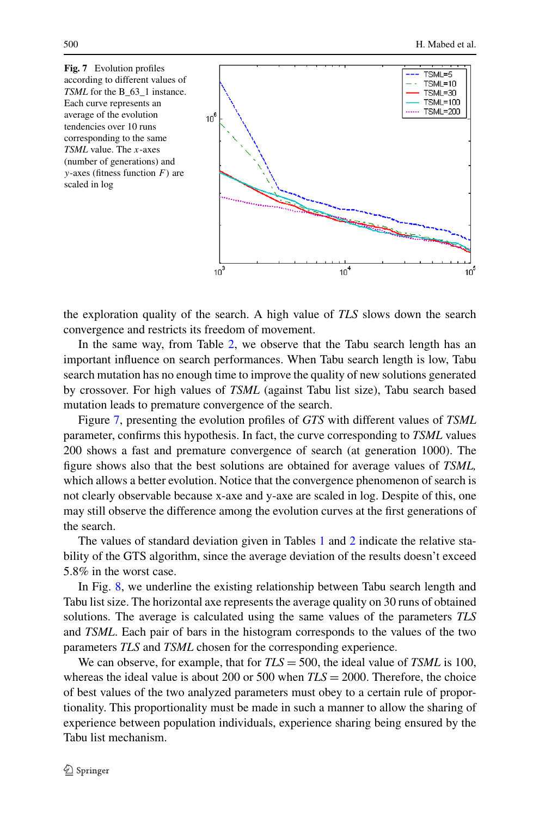<span id="page-17-0"></span>

the exploration quality of the search. A high value of *TLS* slows down the search convergence and restricts its freedom of movement.

In the same way, from Table [2](#page-16-1), we observe that the Tabu search length has an important influence on search performances. When Tabu search length is low, Tabu search mutation has no enough time to improve the quality of new solutions generated by crossover. For high values of *TSML* (against Tabu list size), Tabu search based mutation leads to premature convergence of the search.

Figure [7,](#page-17-0) presenting the evolution profiles of *GTS* with different values of *TSML* parameter, confirms this hypothesis. In fact, the curve corresponding to *TSML* values 200 shows a fast and premature convergence of search (at generation 1000). The figure shows also that the best solutions are obtained for average values of *TSML,* which allows a better evolution. Notice that the convergence phenomenon of search is not clearly observable because x-axe and y-axe are scaled in log. Despite of this, one may still observe the difference among the evolution curves at the first generations of the search.

The values of standard deviation given in Tables [1](#page-16-0) and [2](#page-16-1) indicate the relative stability of the GTS algorithm, since the average deviation of the results doesn't exceed 5.8% in the worst case.

In Fig. [8,](#page-18-0) we underline the existing relationship between Tabu search length and Tabu list size. The horizontal axe represents the average quality on 30 runs of obtained solutions. The average is calculated using the same values of the parameters *TLS* and *TSML*. Each pair of bars in the histogram corresponds to the values of the two parameters *TLS* and *TSML* chosen for the corresponding experience.

We can observe, for example, that for  $TLS = 500$ , the ideal value of *TSML* is 100, whereas the ideal value is about 200 or 500 when  $TLS = 2000$ . Therefore, the choice of best values of the two analyzed parameters must obey to a certain rule of proportionality. This proportionality must be made in such a manner to allow the sharing of experience between population individuals, experience sharing being ensured by the Tabu list mechanism.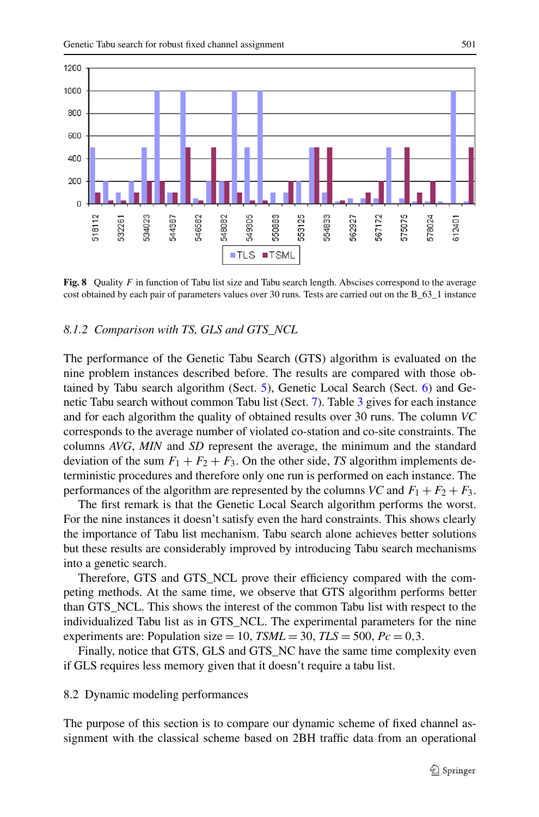

<span id="page-18-0"></span>**Fig. 8** Quality *F* in function of Tabu list size and Tabu search length. Abscises correspond to the average cost obtained by each pair of parameters values over 30 runs. Tests are carried out on the B\_63\_1 instance

### *8.1.2 Comparison with TS, GLS and GTS\_NCL*

The performance of the Genetic Tabu Search (GTS) algorithm is evaluated on the nine problem instances described before. The results are compared with those obtained by Tabu search algorithm (Sect. [5\)](#page-12-0), Genetic Local Search (Sect. [6](#page-13-0)) and Genetic Tabu search without common Tabu list (Sect. [7](#page-14-0)). Table [3](#page-19-0) gives for each instance and for each algorithm the quality of obtained results over 30 runs. The column *VC* corresponds to the average number of violated co-station and co-site constraints. The columns *AVG*, *MIN* and *SD* represent the average, the minimum and the standard deviation of the sum  $F_1 + F_2 + F_3$ . On the other side, *TS* algorithm implements deterministic procedures and therefore only one run is performed on each instance. The performances of the algorithm are represented by the columns *VC* and  $F_1 + F_2 + F_3$ .

The first remark is that the Genetic Local Search algorithm performs the worst. For the nine instances it doesn't satisfy even the hard constraints. This shows clearly the importance of Tabu list mechanism. Tabu search alone achieves better solutions but these results are considerably improved by introducing Tabu search mechanisms into a genetic search.

Therefore, GTS and GTS\_NCL prove their efficiency compared with the competing methods. At the same time, we observe that GTS algorithm performs better than GTS\_NCL. This shows the interest of the common Tabu list with respect to the individualized Tabu list as in GTS\_NCL. The experimental parameters for the nine experiments are: Population size  $= 10$ ,  $TSML = 30$ ,  $TLS = 500$ ,  $Pc = 0.3$ .

Finally, notice that GTS, GLS and GTS\_NC have the same time complexity even if GLS requires less memory given that it doesn't require a tabu list.

### 8.2 Dynamic modeling performances

The purpose of this section is to compare our dynamic scheme of fixed channel assignment with the classical scheme based on 2BH traffic data from an operational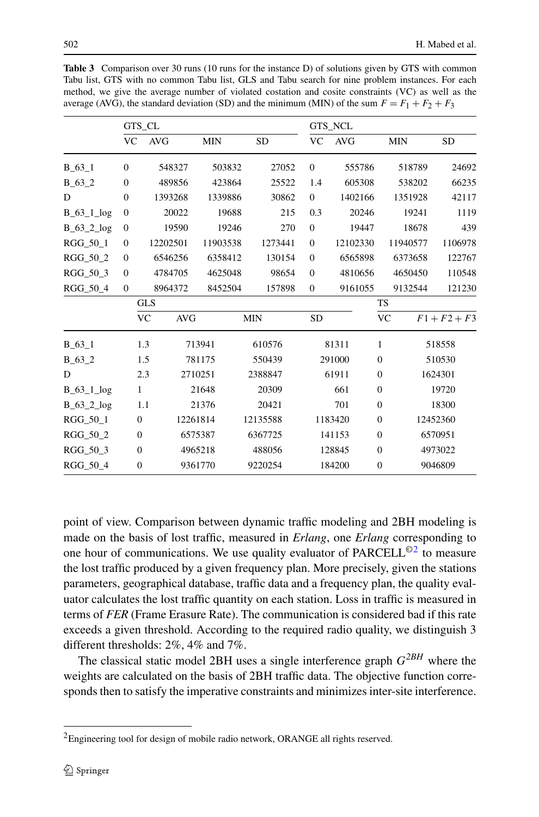|                | GTS_CL       |            |          |           |              | GTS NCL    |            |           |  |  |
|----------------|--------------|------------|----------|-----------|--------------|------------|------------|-----------|--|--|
|                | VС           | <b>AVG</b> | MIN      | <b>SD</b> | VС           | <b>AVG</b> | <b>MIN</b> | <b>SD</b> |  |  |
| $B_63_1$       | $\mathbf{0}$ | 548327     | 503832   | 27052     | $\mathbf{0}$ | 555786     | 518789     | 24692     |  |  |
| B 63 2         | $\Omega$     | 489856     | 423864   | 25522     | 1.4          | 605308     | 538202     | 66235     |  |  |
| D              | $\Omega$     | 1393268    | 1339886  | 30862     | $\Omega$     | 1402166    | 1351928    | 42117     |  |  |
| $B_63_1$ $log$ | $\theta$     | 20022      | 19688    | 215       | 0.3          | 20246      | 19241      | 1119      |  |  |
| B 63 2 log     | $\Omega$     | 19590      | 19246    | 270       | $\Omega$     | 19447      | 18678      | 439       |  |  |
| RGG 50 1       | $\Omega$     | 12202501   | 11903538 | 1273441   | $\Omega$     | 12102330   | 11940577   | 1106978   |  |  |
| RGG 50 2       | $\theta$     | 6546256    | 6358412  | 130154    | $\mathbf{0}$ | 6565898    | 6373658    | 122767    |  |  |
| RGG 50 3       | $\Omega$     | 4784705    | 4625048  | 98654     | $\Omega$     | 4810656    | 4650450    | 110548    |  |  |
| RGG 50 4       | $\mathbf{0}$ | 8964372    | 8452504  | 157898    | $\mathbf{0}$ | 9161055    | 9132544    | 121230    |  |  |
| <b>GLS</b>     |              |            |          |           |              |            | <b>TS</b>  |           |  |  |

<span id="page-19-0"></span>**Table 3** Comparison over 30 runs (10 runs for the instance D) of solutions given by GTS with common Tabu list GLS and Tabu search for nine problem instances. For each Tabu list, GTS with no common Tabu list. GLS and Tabu search for nine problem instance method, we give the average number of violated costation and cosite constraints (VC) as well as the

| RGG 50 3     | $\Omega$       |                | 4784705    | 4625048 |          | 98654  | $\Omega$     | 4810656 |                | 4650450  | 110548         |
|--------------|----------------|----------------|------------|---------|----------|--------|--------------|---------|----------------|----------|----------------|
| RGG 50 4     | $\overline{0}$ |                | 8964372    | 8452504 |          | 157898 | $\mathbf{0}$ | 9161055 |                | 9132544  | 121230         |
|              |                | <b>GLS</b>     |            |         |          |        |              |         | TS             |          |                |
|              |                | <b>VC</b>      | <b>AVG</b> |         | MIN      |        | <b>SD</b>    |         | <b>VC</b>      |          | $F1 + F2 + F3$ |
| B 63 1       |                | 1.3            | 713941     |         | 610576   |        |              | 81311   | 1              |          | 518558         |
| B 63 2       |                | 1.5            | 781175     |         | 550439   |        |              | 291000  | $\overline{0}$ |          | 510530         |
| D            |                | 2.3            | 2710251    |         | 2388847  |        |              | 61911   | $\overline{0}$ |          | 1624301        |
| $B_63_1$ log |                | 1              | 21648      |         | 20309    |        |              | 661     | $\Omega$       |          | 19720          |
| B 63 2 log   |                | 1.1            | 21376      |         | 20421    |        |              | 701     | $\overline{0}$ |          | 18300          |
| RGG 50 1     |                | $\mathbf{0}$   | 12261814   |         | 12135588 |        |              | 1183420 | $\overline{0}$ | 12452360 |                |
| RGG 50 2     |                | $\overline{0}$ | 6575387    |         | 6367725  |        |              | 141153  | $\Omega$       | 6570951  |                |
| RGG 50 3     |                | $\mathbf{0}$   | 4965218    |         | 488056   |        |              | 128845  | $\overline{0}$ |          | 4973022        |
| RGG 50 4     |                | $\overline{0}$ | 9361770    |         | 9220254  |        |              | 184200  | $\overline{0}$ | 9046809  |                |

point of view. Comparison between dynamic traffic modeling and 2BH modeling is made on the basis of lost traffic, measured in *Erlang*, one *Erlang* corresponding to one hour of communications. We use quality evaluator of  $PARCELL<sup>©2</sup>$  $PARCELL<sup>©2</sup>$  $PARCELL<sup>©2</sup>$  to measure the lost traffic produced by a given frequency plan. More precisely, given the stations parameters, geographical database, traffic data and a frequency plan, the quality evaluator calculates the lost traffic quantity on each station. Loss in traffic is measured in terms of *FER* (Frame Erasure Rate). The communication is considered bad if this rate exceeds a given threshold. According to the required radio quality, we distinguish 3 different thresholds: 2%, 4% and 7%.

<span id="page-19-1"></span>The classical static model 2BH uses a single interference graph *G2BH* where the weights are calculated on the basis of 2BH traffic data. The objective function corresponds then to satisfy the imperative constraints and minimizes inter-site interference.

 ${}^{2}$ Engineering tool for design of mobile radio network, ORANGE all rights reserved.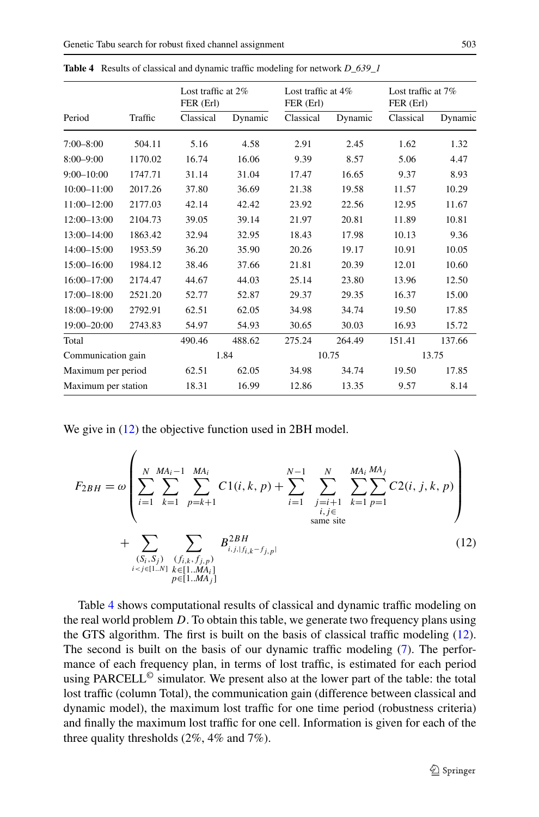|                     |         | Lost traffic at 2%<br>FER (Erl) |                | Lost traffic at 4%<br>FER (Erl) |         | Lost traffic at 7%<br>FER (Erl) |         |
|---------------------|---------|---------------------------------|----------------|---------------------------------|---------|---------------------------------|---------|
| Period              | Traffic | Classical                       | Dynamic        | Classical                       | Dynamic | Classical                       | Dynamic |
| $7:00 - 8:00$       | 504.11  | 5.16                            | 4.58           | 2.91                            | 2.45    | 1.62                            | 1.32    |
| $8:00 - 9:00$       | 1170.02 | 16.74                           | 16.06<br>9.39  |                                 | 8.57    | 5.06                            | 4.47    |
| $9:00 - 10:00$      | 1747.71 | 31.14                           | 31.04          | 17.47                           | 16.65   | 9.37                            | 8.93    |
| 10:00-11:00         | 2017.26 | 37.80                           | 36.69          | 21.38                           | 19.58   | 11.57                           | 10.29   |
| $11:00 - 12:00$     | 2177.03 | 42.14                           | 42.42          | 23.92                           | 22.56   | 12.95                           | 11.67   |
| 12:00-13:00         | 2104.73 | 39.05                           | 39.14          | 21.97                           | 20.81   | 11.89                           | 10.81   |
| 13:00-14:00         | 1863.42 | 32.94                           | 32.95          | 18.43                           | 17.98   | 10.13                           | 9.36    |
| 14:00-15:00         | 1953.59 | 36.20                           | 35.90          | 20.26                           | 19.17   | 10.91                           | 10.05   |
| 15:00-16:00         | 1984.12 | 38.46                           | 37.66          | 21.81                           | 20.39   | 12.01                           | 10.60   |
| 16:00-17:00         | 2174.47 | 44.67                           | 44.03          | 25.14                           | 23.80   | 13.96                           | 12.50   |
| 17:00-18:00         | 2521.20 | 52.77                           | 52.87          | 29.37                           | 29.35   | 16.37                           | 15.00   |
| 18:00-19:00         | 2792.91 | 62.51                           | 62.05          | 34.98                           | 34.74   | 19.50                           | 17.85   |
| 19:00-20:00         | 2743.83 | 54.97                           | 54.93          | 30.65                           | 30.03   | 16.93                           | 15.72   |
| Total               |         | 490.46                          | 488.62         | 275.24                          | 264.49  | 151.41                          | 137.66  |
| Communication gain  |         | 1.84                            |                |                                 | 10.75   | 13.75                           |         |
| Maximum per period  |         | 62.51                           | 62.05          | 34.98                           | 34.74   | 19.50                           | 17.85   |
| Maximum per station |         | 18.31                           | 16.99<br>12.86 |                                 | 13.35   | 9.57                            | 8.14    |

<span id="page-20-1"></span>**Table 4** Results of classical and dynamic traffic modeling for network *D\_639\_1*

<span id="page-20-0"></span>We give in  $(12)$  $(12)$  the objective function used in 2BH model.

$$
F_{2BH} = \omega \left( \sum_{i=1}^{N} \sum_{k=1}^{MA_i-1} \sum_{p=k+1}^{MA_i} C1(i, k, p) + \sum_{i=1}^{N-1} \sum_{\substack{j=i+1 \ j \text{same site}}}^{N} \sum_{k=1}^{MA_i} \sum_{p=1}^{MA_j} C2(i, j, k, p) \right) + \sum_{\substack{(S_i, S_j) \ (S_i, k, f_j, p) \ (i,j) \in \{1..M\}}} B_{i, j, |f_{i, k} - f_{j, p}|}^{2BH} \tag{12}
$$

Table [4](#page-20-1) shows computational results of classical and dynamic traffic modeling on the real world problem *D*. To obtain this table, we generate two frequency plans using the GTS algorithm. The first is built on the basis of classical traffic modeling ([12\)](#page-20-0). The second is built on the basis of our dynamic traffic modeling [\(7](#page-7-0)). The performance of each frequency plan, in terms of lost traffic, is estimated for each period using PARCELL© simulator. We present also at the lower part of the table: the total lost traffic (column Total), the communication gain (difference between classical and dynamic model), the maximum lost traffic for one time period (robustness criteria) and finally the maximum lost traffic for one cell. Information is given for each of the three quality thresholds (2%, 4% and 7%).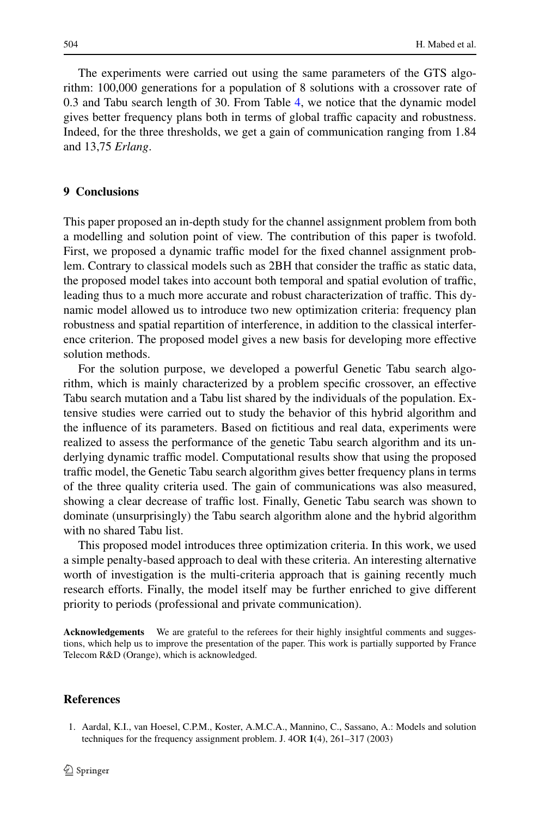The experiments were carried out using the same parameters of the GTS algorithm: 100,000 generations for a population of 8 solutions with a crossover rate of 0.3 and Tabu search length of 30. From Table [4](#page-20-1), we notice that the dynamic model gives better frequency plans both in terms of global traffic capacity and robustness. Indeed, for the three thresholds, we get a gain of communication ranging from 1.84 and 13,75 *Erlang*.

### **9 Conclusions**

This paper proposed an in-depth study for the channel assignment problem from both a modelling and solution point of view. The contribution of this paper is twofold. First, we proposed a dynamic traffic model for the fixed channel assignment problem. Contrary to classical models such as 2BH that consider the traffic as static data, the proposed model takes into account both temporal and spatial evolution of traffic, leading thus to a much more accurate and robust characterization of traffic. This dynamic model allowed us to introduce two new optimization criteria: frequency plan robustness and spatial repartition of interference, in addition to the classical interference criterion. The proposed model gives a new basis for developing more effective solution methods.

For the solution purpose, we developed a powerful Genetic Tabu search algorithm, which is mainly characterized by a problem specific crossover, an effective Tabu search mutation and a Tabu list shared by the individuals of the population. Extensive studies were carried out to study the behavior of this hybrid algorithm and the influence of its parameters. Based on fictitious and real data, experiments were realized to assess the performance of the genetic Tabu search algorithm and its underlying dynamic traffic model. Computational results show that using the proposed traffic model, the Genetic Tabu search algorithm gives better frequency plans in terms of the three quality criteria used. The gain of communications was also measured, showing a clear decrease of traffic lost. Finally, Genetic Tabu search was shown to dominate (unsurprisingly) the Tabu search algorithm alone and the hybrid algorithm with no shared Tabu list.

This proposed model introduces three optimization criteria. In this work, we used a simple penalty-based approach to deal with these criteria. An interesting alternative worth of investigation is the multi-criteria approach that is gaining recently much research efforts. Finally, the model itself may be further enriched to give different priority to periods (professional and private communication).

<span id="page-21-0"></span>Acknowledgements We are grateful to the referees for their highly insightful comments and suggestions, which help us to improve the presentation of the paper. This work is partially supported by France Telecom R&D (Orange), which is acknowledged.

### **References**

1. Aardal, K.I., van Hoesel, C.P.M., Koster, A.M.C.A., Mannino, C., Sassano, A.: Models and solution techniques for the frequency assignment problem. J. 4OR **1**(4), 261–317 (2003)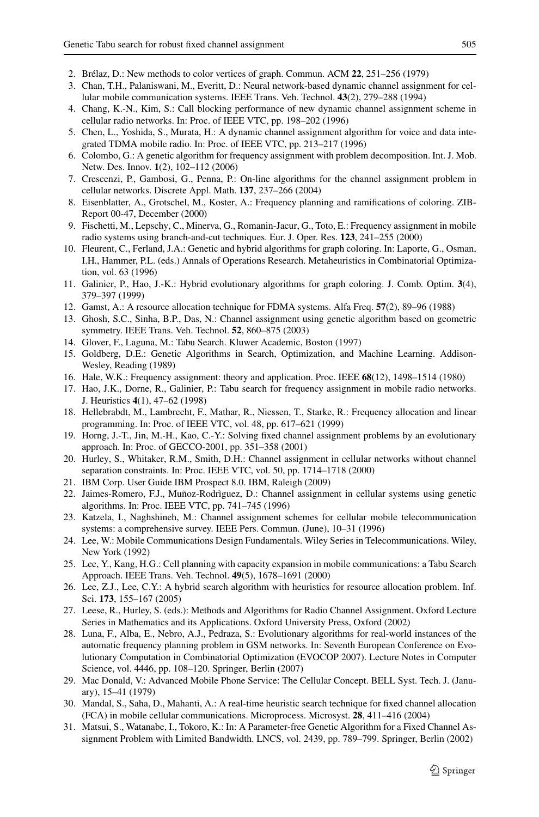- <span id="page-22-27"></span><span id="page-22-7"></span><span id="page-22-3"></span><span id="page-22-2"></span><span id="page-22-1"></span>2. Brélaz, D.: New methods to color vertices of graph. Commun. ACM **22**, 251–256 (1979)
- <span id="page-22-21"></span>3. Chan, T.H., Palaniswani, M., Everitt, D.: Neural network-based dynamic channel assignment for cellular mobile communication systems. IEEE Trans. Veh. Technol. **43**(2), 279–288 (1994)
- <span id="page-22-19"></span>4. Chang, K.-N., Kim, S.: Call blocking performance of new dynamic channel assignment scheme in cellular radio networks. In: Proc. of IEEE VTC, pp. 198–202 (1996)
- <span id="page-22-28"></span>5. Chen, L., Yoshida, S., Murata, H.: A dynamic channel assignment algorithm for voice and data integrated TDMA mobile radio. In: Proc. of IEEE VTC, pp. 213–217 (1996)
- 6. Colombo, G.: A genetic algorithm for frequency assignment with problem decomposition. Int. J. Mob. Netw. Des. Innov. **1**(2), 102–112 (2006)
- <span id="page-22-22"></span>7. Crescenzi, P., Gambosi, G., Penna, P.: On-line algorithms for the channel assignment problem in cellular networks. Discrete Appl. Math. **137**, 237–266 (2004)
- <span id="page-22-15"></span><span id="page-22-8"></span>8. Eisenblatter, A., Grotschel, M., Koster, A.: Frequency planning and ramifications of coloring. ZIB-Report 00-47, December (2000)
- 9. Fischetti, M., Lepschy, C., Minerva, G., Romanin-Jacur, G., Toto, E.: Frequency assignment in mobile radio systems using branch-and-cut techniques. Eur. J. Oper. Res. **123**, 241–255 (2000)
- <span id="page-22-25"></span><span id="page-22-24"></span><span id="page-22-16"></span>10. Fleurent, C., Ferland, J.A.: Genetic and hybrid algorithms for graph coloring. In: Laporte, G., Osman, I.H., Hammer, P.L. (eds.) Annals of Operations Research. Metaheuristics in Combinatorial Optimization, vol. 63 (1996)
- <span id="page-22-9"></span>11. Galinier, P., Hao, J.-K.: Hybrid evolutionary algorithms for graph coloring. J. Comb. Optim. **3**(4), 379–397 (1999)
- <span id="page-22-17"></span>12. Gamst, A.: A resource allocation technique for FDMA systems. Alfa Freq. **57**(2), 89–96 (1988)
- <span id="page-22-4"></span>13. Ghosh, S.C., Sinha, B.P., Das, N.: Channel assignment using genetic algorithm based on geometric symmetry. IEEE Trans. Veh. Technol. **52**, 860–875 (2003)
- <span id="page-22-20"></span>14. Glover, F., Laguna, M.: Tabu Search. Kluwer Academic, Boston (1997)
- 15. Goldberg, D.E.: Genetic Algorithms in Search, Optimization, and Machine Learning. Addison-Wesley, Reading (1989)
- <span id="page-22-18"></span><span id="page-22-0"></span>16. Hale, W.K.: Frequency assignment: theory and application. Proc. IEEE **68**(12), 1498–1514 (1980)
- 17. Hao, J.K., Dorne, R., Galinier, P.: Tabu search for frequency assignment in mobile radio networks. J. Heuristics **4**(1), 47–62 (1998)
- <span id="page-22-14"></span>18. Hellebrabdt, M., Lambrecht, F., Mathar, R., Niessen, T., Starke, R.: Frequency allocation and linear programming. In: Proc. of IEEE VTC, vol. 48, pp. 617–621 (1999)
- <span id="page-22-12"></span>19. Horng, J.-T., Jin, M.-H., Kao, C.-Y.: Solving fixed channel assignment problems by an evolutionary approach. In: Proc. of GECCO-2001, pp. 351–358 (2001)
- <span id="page-22-26"></span>20. Hurley, S., Whitaker, R.M., Smith, D.H.: Channel assignment in cellular networks without channel separation constraints. In: Proc. IEEE VTC, vol. 50, pp. 1714–1718 (2000)
- <span id="page-22-23"></span>21. IBM Corp. User Guide IBM Prospect 8.0. IBM, Raleigh (2009)
- <span id="page-22-10"></span>22. Jaimes-Romero, F.J., Muñoz-Rodrìguez, D.: Channel assignment in cellular systems using genetic algorithms. In: Proc. IEEE VTC, pp. 741–745 (1996)
- <span id="page-22-5"></span>23. Katzela, I., Naghshineh, M.: Channel assignment schemes for cellular mobile telecommunication systems: a comprehensive survey. IEEE Pers. Commun. (June), 10–31 (1996)
- 24. Lee, W.: Mobile Communications Design Fundamentals. Wiley Series in Telecommunications. Wiley, New York (1992)
- <span id="page-22-13"></span>25. Lee, Y., Kang, H.G.: Cell planning with capacity expansion in mobile communications: a Tabu Search Approach. IEEE Trans. Veh. Technol. **49**(5), 1678–1691 (2000)
- <span id="page-22-11"></span>26. Lee, Z.J., Lee, C.Y.: A hybrid search algorithm with heuristics for resource allocation problem. Inf. Sci. **173**, 155–167 (2005)
- <span id="page-22-6"></span>27. Leese, R., Hurley, S. (eds.): Methods and Algorithms for Radio Channel Assignment. Oxford Lecture Series in Mathematics and its Applications. Oxford University Press, Oxford (2002)
- 28. Luna, F., Alba, E., Nebro, A.J., Pedraza, S.: Evolutionary algorithms for real-world instances of the automatic frequency planning problem in GSM networks. In: Seventh European Conference on Evolutionary Computation in Combinatorial Optimization (EVOCOP 2007). Lecture Notes in Computer Science, vol. 4446, pp. 108–120. Springer, Berlin (2007)
- 29. Mac Donald, V.: Advanced Mobile Phone Service: The Cellular Concept. BELL Syst. Tech. J. (January), 15–41 (1979)
- 30. Mandal, S., Saha, D., Mahanti, A.: A real-time heuristic search technique for fixed channel allocation (FCA) in mobile cellular communications. Microprocess. Microsyst. **28**, 411–416 (2004)
- 31. Matsui, S., Watanabe, I., Tokoro, K.: In: A Parameter-free Genetic Algorithm for a Fixed Channel Assignment Problem with Limited Bandwidth. LNCS, vol. 2439, pp. 789–799. Springer, Berlin (2002)